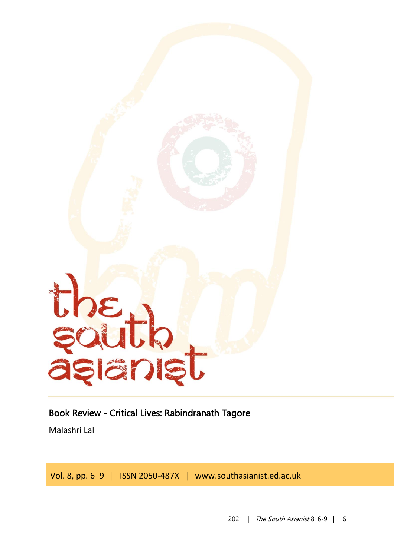

## Book Review - Critical Lives: Rabindranath Tagore

Malashri Lal

Vol. 8, pp. 6–9 | ISSN 2050-487X | www.southasianist.ed.ac.uk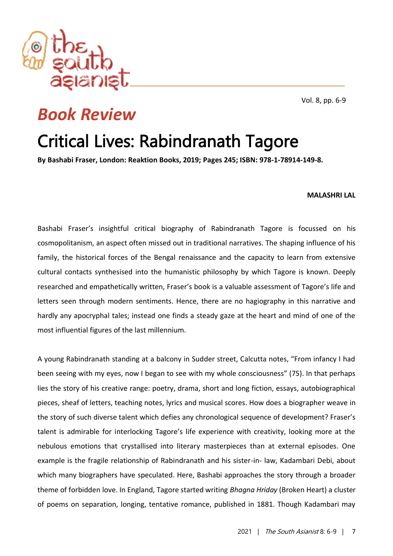

Vol. 8, pp. 6-9

## *Book Review*

## Critical Lives: Rabindranath Tagore

**By Bashabi Fraser, London: Reaktion Books, 2019; Pages 245; ISBN: 978-1-78914-149-8.**

## **MALASHRI LAL**

Bashabi Fraser's insightful critical biography of Rabindranath Tagore is focussed on his cosmopolitanism, an aspect often missed out in traditional narratives. The shaping influence of his family, the historical forces of the Bengal renaissance and the capacity to learn from extensive cultural contacts synthesised into the humanistic philosophy by which Tagore is known. Deeply researched and empathetically written, Fraser's book is a valuable assessment of Tagore's life and letters seen through modern sentiments. Hence, there are no hagiography in this narrative and hardly any apocryphal tales; instead one finds a steady gaze at the heart and mind of one of the most influential figures of the last millennium.

A young Rabindranath standing at a balcony in Sudder street, Calcutta notes, "From infancy I had been seeing with my eyes, now I began to see with my whole consciousness" (75). In that perhaps lies the story of his creative range: poetry, drama, short and long fiction, essays, autobiographical pieces, sheaf of letters, teaching notes, lyrics and musical scores. How does a biographer weave in the story of such diverse talent which defies any chronological sequence of development? Fraser's talent is admirable for interlocking Tagore's life experience with creativity, looking more at the nebulous emotions that crystallised into literary masterpieces than at external episodes. One example is the fragile relationship of Rabindranath and his sister-in- law, Kadambari Debi, about which many biographers have speculated. Here, Bashabi approaches the story through a broader theme of forbidden love. In England, Tagore started writing *Bhagna Hriday* (Broken Heart) a cluster of poems on separation, longing, tentative romance, published in 1881. Though Kadambari may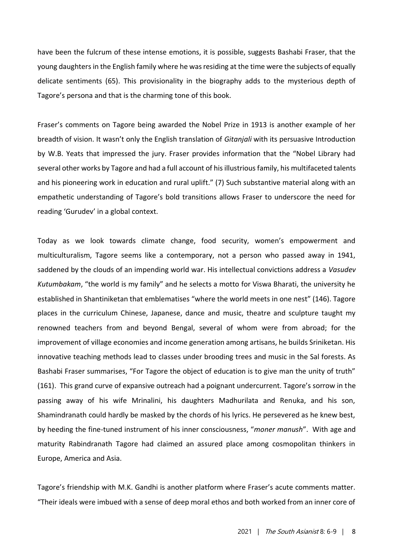have been the fulcrum of these intense emotions, it is possible, suggests Bashabi Fraser, that the young daughters in the English family where he was residing at the time were the subjects of equally delicate sentiments (65). This provisionality in the biography adds to the mysterious depth of Tagore's persona and that is the charming tone of this book.

Fraser's comments on Tagore being awarded the Nobel Prize in 1913 is another example of her breadth of vision. It wasn't only the English translation of *Gitanjali* with its persuasive Introduction by W.B. Yeats that impressed the jury. Fraser provides information that the "Nobel Library had several other works by Tagore and had a full account of his illustrious family, his multifaceted talents and his pioneering work in education and rural uplift." (7) Such substantive material along with an empathetic understanding of Tagore's bold transitions allows Fraser to underscore the need for reading 'Gurudev' in a global context.

Today as we look towards climate change, food security, women's empowerment and multiculturalism, Tagore seems like a contemporary, not a person who passed away in 1941, saddened by the clouds of an impending world war. His intellectual convictions address a *Vasudev Kutumbakam*, "the world is my family" and he selects a motto for Viswa Bharati, the university he established in Shantiniketan that emblematises "where the world meets in one nest" (146). Tagore places in the curriculum Chinese, Japanese, dance and music, theatre and sculpture taught my renowned teachers from and beyond Bengal, several of whom were from abroad; for the improvement of village economies and income generation among artisans, he builds Sriniketan. His innovative teaching methods lead to classes under brooding trees and music in the Sal forests. As Bashabi Fraser summarises, "For Tagore the object of education is to give man the unity of truth" (161). This grand curve of expansive outreach had a poignant undercurrent. Tagore's sorrow in the passing away of his wife Mrinalini, his daughters Madhurilata and Renuka, and his son, Shamindranath could hardly be masked by the chords of his lyrics. He persevered as he knew best, by heeding the fine-tuned instrument of his inner consciousness, "*moner manush*". With age and maturity Rabindranath Tagore had claimed an assured place among cosmopolitan thinkers in Europe, America and Asia.

Tagore's friendship with M.K. Gandhi is another platform where Fraser's acute comments matter. "Their ideals were imbued with a sense of deep moral ethos and both worked from an inner core of